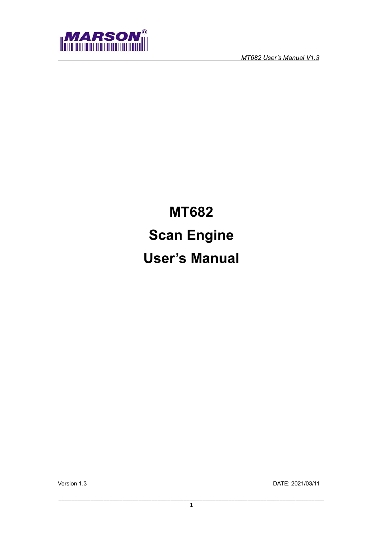

# **MT682 Scan Engine User's Manual**

Version 1.3 DATE: 2021/03/11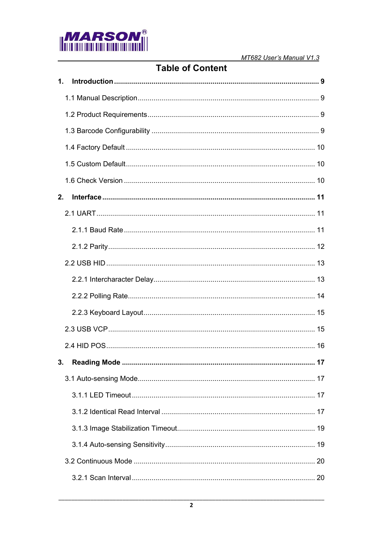

# **Table of Content**

| 2. |    |
|----|----|
|    |    |
|    |    |
|    |    |
|    |    |
|    |    |
|    |    |
|    |    |
|    |    |
|    |    |
| 3. | 17 |
|    |    |
|    |    |
|    |    |
|    |    |
|    |    |
|    |    |
|    |    |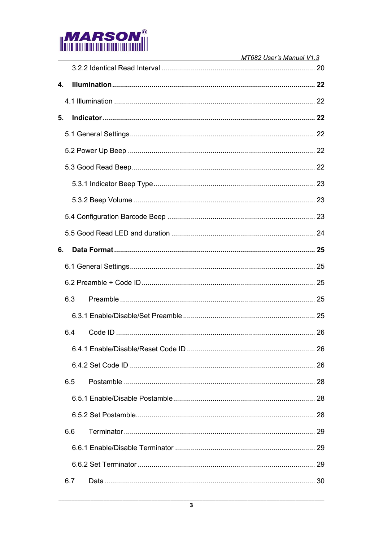

|              | MT682 User's Manual V1.3 |  |
|--------------|--------------------------|--|
|              |                          |  |
| $\mathbf{4}$ |                          |  |
|              |                          |  |
| 5.           |                          |  |
|              |                          |  |
|              |                          |  |
|              |                          |  |
|              |                          |  |
|              |                          |  |
|              |                          |  |
|              |                          |  |
| 6.           |                          |  |
|              |                          |  |
|              |                          |  |
|              | 6.3                      |  |
|              |                          |  |
|              | 6.4                      |  |
|              |                          |  |
|              |                          |  |
|              | 6.5                      |  |
|              |                          |  |
|              |                          |  |
|              | 6.6                      |  |
|              |                          |  |
|              |                          |  |
|              | 6.7                      |  |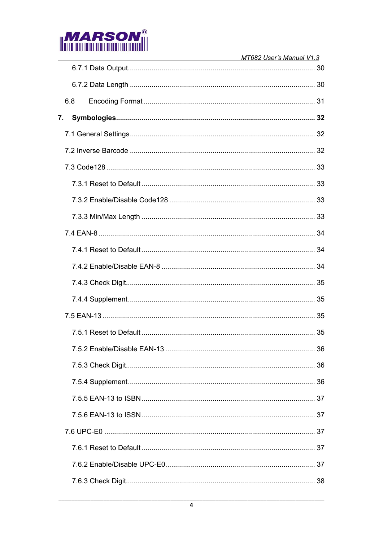

| <u> 1980 - Johann Barn, mars ann an t-Amhain Aonaich an t-Aonaich an t-Aonaich an t-Aonaich an t-Aonaich an t-Aon</u> | MT682 User's Manual V1.3 |
|-----------------------------------------------------------------------------------------------------------------------|--------------------------|
|                                                                                                                       |                          |
|                                                                                                                       |                          |
| 6.8                                                                                                                   |                          |
| 7.                                                                                                                    |                          |
|                                                                                                                       |                          |
|                                                                                                                       |                          |
|                                                                                                                       |                          |
|                                                                                                                       |                          |
|                                                                                                                       |                          |
|                                                                                                                       |                          |
|                                                                                                                       |                          |
|                                                                                                                       |                          |
|                                                                                                                       |                          |
|                                                                                                                       |                          |
|                                                                                                                       |                          |
|                                                                                                                       |                          |
|                                                                                                                       |                          |
|                                                                                                                       |                          |
|                                                                                                                       |                          |
|                                                                                                                       |                          |
|                                                                                                                       |                          |
|                                                                                                                       |                          |
|                                                                                                                       |                          |
|                                                                                                                       |                          |
|                                                                                                                       |                          |
|                                                                                                                       |                          |
|                                                                                                                       |                          |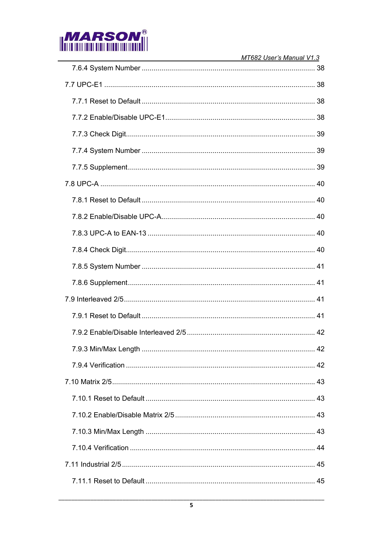

 $\overline{a}$ 

| <u>MT682 User's Manual V1.3</u> |
|---------------------------------|
|                                 |
|                                 |
|                                 |
|                                 |
|                                 |
|                                 |
|                                 |
|                                 |
|                                 |
|                                 |
|                                 |
|                                 |
|                                 |
|                                 |
|                                 |
|                                 |
|                                 |
|                                 |
|                                 |
|                                 |
|                                 |
|                                 |
|                                 |
|                                 |
|                                 |
|                                 |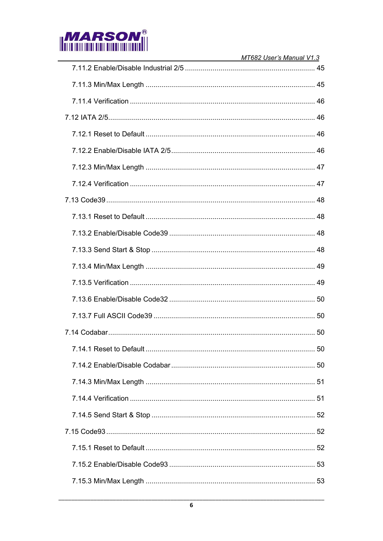

 $\overline{a}$ 

| MT682 User's Manual V1.3<br><u> 1980 - Johann Barbara, martxa alemaniar a</u> |  |
|-------------------------------------------------------------------------------|--|
|                                                                               |  |
|                                                                               |  |
|                                                                               |  |
|                                                                               |  |
|                                                                               |  |
|                                                                               |  |
|                                                                               |  |
|                                                                               |  |
|                                                                               |  |
|                                                                               |  |
|                                                                               |  |
|                                                                               |  |
|                                                                               |  |
|                                                                               |  |
|                                                                               |  |
|                                                                               |  |
|                                                                               |  |
|                                                                               |  |
|                                                                               |  |
|                                                                               |  |
|                                                                               |  |
|                                                                               |  |
|                                                                               |  |
|                                                                               |  |
|                                                                               |  |
|                                                                               |  |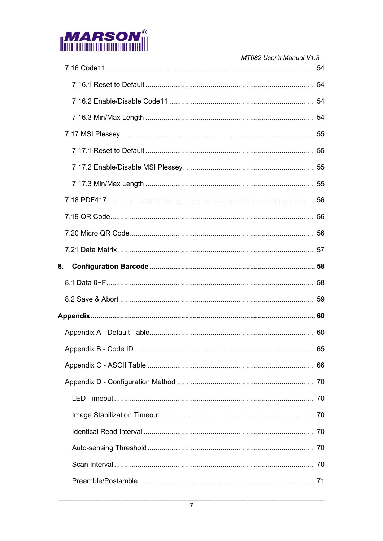

|    | MT682 User's Manual V1.3 |
|----|--------------------------|
|    |                          |
|    |                          |
|    |                          |
|    |                          |
|    |                          |
|    |                          |
|    |                          |
|    |                          |
|    |                          |
|    |                          |
|    |                          |
|    |                          |
| 8. |                          |
|    |                          |
|    |                          |
|    |                          |
|    |                          |
|    |                          |
|    |                          |
|    |                          |
|    |                          |
|    |                          |
|    |                          |
|    |                          |
|    |                          |
|    |                          |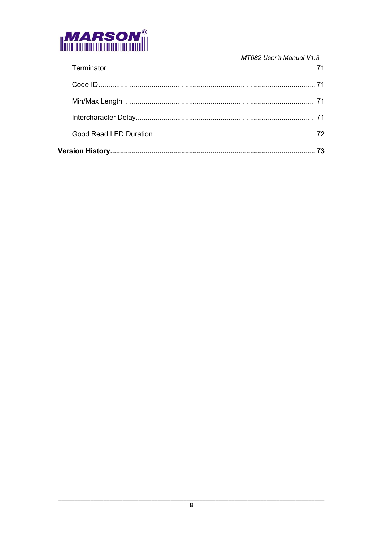

|  | 72 |
|--|----|
|  |    |
|  |    |
|  |    |
|  |    |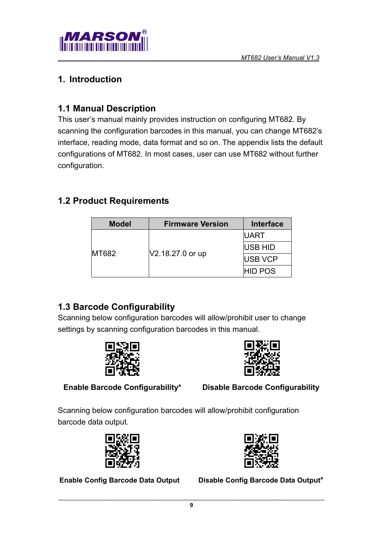

#### <span id="page-8-0"></span>**1. Introduction**

#### <span id="page-8-1"></span>**1.1 Manual Description**

This user's manual mainly provides instruction on configuring MT682. By scanning the configuration barcodes in this manual, you can change MT682's interface, reading mode, data format and so on. The appendix lists the default configurations of MT682. In most cases, user can use MT682 without further configuration.

#### <span id="page-8-2"></span>**1.2 Product Requirements**

| <b>Model</b> | <b>Firmware Version</b>                                        | <b>Interface</b> |
|--------------|----------------------------------------------------------------|------------------|
|              | UART<br>USB HID<br>V2.18.27.0 or up<br><b>MT682</b><br>USB VCP |                  |
|              |                                                                |                  |
|              |                                                                |                  |
|              |                                                                | <b>HID POS</b>   |

#### <span id="page-8-3"></span>**1.3 Barcode Configurability**

Scanning below configuration barcodes will allow/prohibit user to change settings by scanning configuration barcodes in this manual.





**Enable Barcode Configurability\* Disable Barcode Configurability**

Scanning below configuration barcodes will allow/prohibit configuration barcode data output.



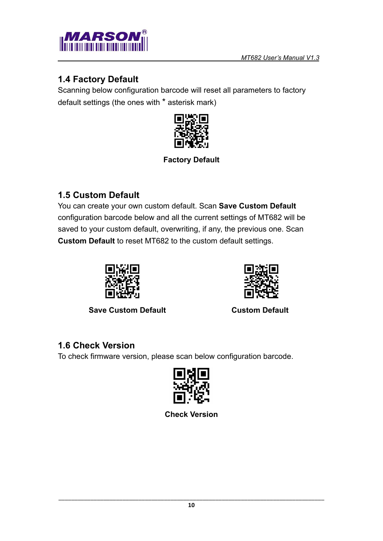

# <span id="page-9-0"></span>**1.4 Factory Default**

Scanning below configuration barcode will reset all parameters to factory default settings (the ones with \* asterisk mark)



# **Factory Default**

# <span id="page-9-1"></span>**1.5 Custom Default**

You can create your own custom default. Scan **Save Custom Default** configuration barcode below and all the current settings of MT682 will be saved to your custom default, overwriting, if any, the previous one. Scan **Custom Default** to reset MT682 to the custom default settings.



**Save Custom Default Custom Default** 



# <span id="page-9-2"></span>**1.6 Check Version**

To check firmware version, please scan below configuration barcode.



**Check Version**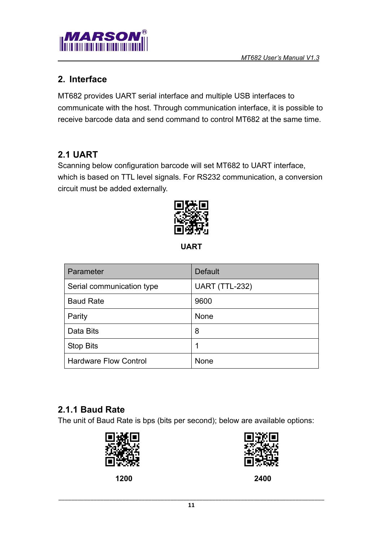

# <span id="page-10-0"></span>**2. Interface**

MT682 provides UART serial interface and multiple USB interfaces to communicate with the host. Through communication interface, it is possible to receive barcode data and send command to control MT682 at the same time.

# <span id="page-10-1"></span>**2.1 UART**

Scanning below configuration barcode will set MT682 to UART interface, which is based on TTL level signals. For RS232 communication, a conversion circuit must be added externally.



**UART**

| Parameter                    | <b>Default</b>        |
|------------------------------|-----------------------|
| Serial communication type    | <b>UART (TTL-232)</b> |
| <b>Baud Rate</b>             | 9600                  |
| Parity                       | None                  |
| Data Bits                    | 8                     |
| <b>Stop Bits</b>             |                       |
| <b>Hardware Flow Control</b> | <b>None</b>           |

# <span id="page-10-2"></span>**2.1.1 Baud Rate**

The unit of Baud Rate is bps (bits per second); below are available options:





**1200 2400**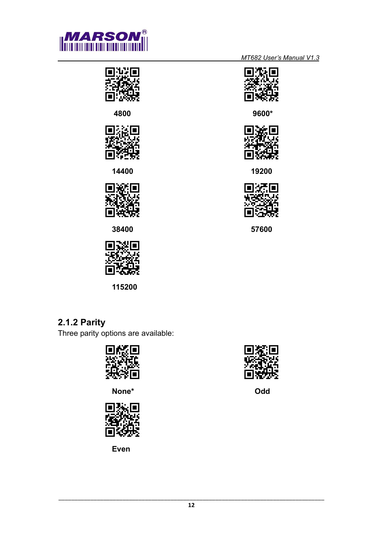



**4800 9600\***







MG V  $\blacksquare$ 



**14400 19200**



**38400 57600**



**115200** 

# <span id="page-11-0"></span>**2.1.2 Parity**

Three parity options are available:



**None\* Odd**



**Even** 

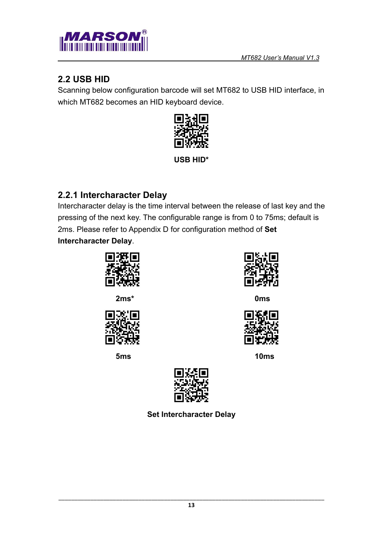

# <span id="page-12-0"></span>**2.2 USB HID**

Scanning below configuration barcode will set MT682 to USB HID interface, in which MT682 becomes an HID keyboard device.



**USB HID\***

# <span id="page-12-1"></span>**2.2.1 Intercharacter Delay**

Intercharacter delay is the time interval between the release of last key and the pressing of the next key. The configurable range is from 0 to 75ms; default is 2ms. Please refer to Appendix D for configuration method of **Set** 

#### **Intercharacter Delay**.



**2ms\* 0ms**







**5ms 10ms**



**Set Intercharacter Delay**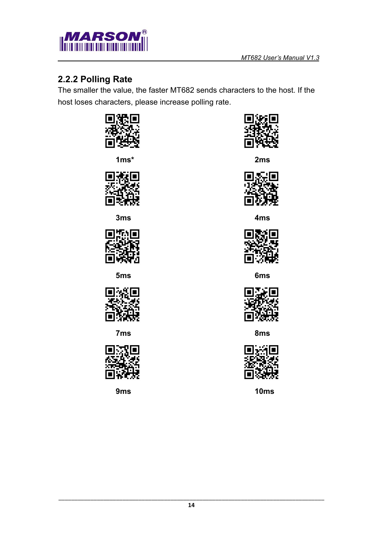

# <span id="page-13-0"></span>**2.2.2 Polling Rate**

The smaller the value, the faster MT682 sends characters to the host. If the host loses characters, please increase polling rate.



**1ms\* 2ms**



**3ms 4ms**



**5ms 6ms**













**7ms** 8ms



**9ms 10ms**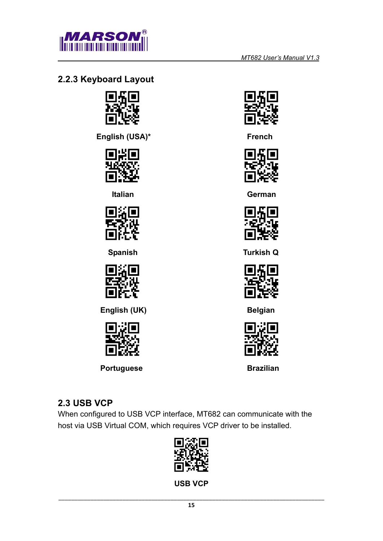

# <span id="page-14-0"></span>**2.2.3 Keyboard Layout**



**English (USA)\* French**







**English (UK) Belgian** 



**Portuguese Brazilian** 





**Italian German**



**Spanish Turkish Q**





# <span id="page-14-1"></span>**2.3 USB VCP**

When configured to USB VCP interface, MT682 can communicate with the host via USB Virtual COM, which requires VCP driver to be installed.



**USB VCP**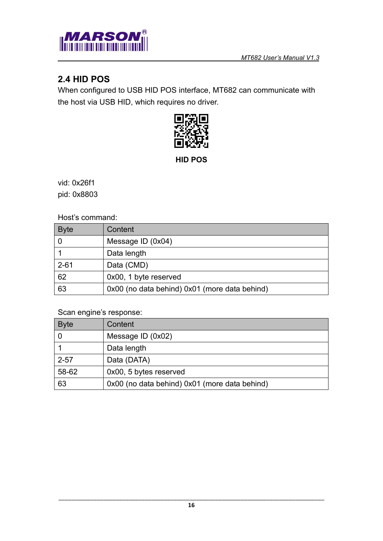

# <span id="page-15-0"></span>**2.4 HID POS**

When configured to USB HID POS interface, MT682 can communicate with the host via USB HID, which requires no driver.



**HID POS**

vid: 0x26f1 pid: 0x8803

Host's command:

| <b>Byte</b> | Content                                       |
|-------------|-----------------------------------------------|
|             | Message ID $(0x04)$                           |
|             | Data length                                   |
| $2 - 61$    | Data (CMD)                                    |
| 62          | 0x00, 1 byte reserved                         |
| 63          | 0x00 (no data behind) 0x01 (more data behind) |

Scan engine's response:

| <b>Byte</b> | Content                                       |
|-------------|-----------------------------------------------|
|             | Message ID $(0x02)$                           |
|             | Data length                                   |
| $2 - 57$    | Data (DATA)                                   |
| 58-62       | 0x00, 5 bytes reserved                        |
| 63          | 0x00 (no data behind) 0x01 (more data behind) |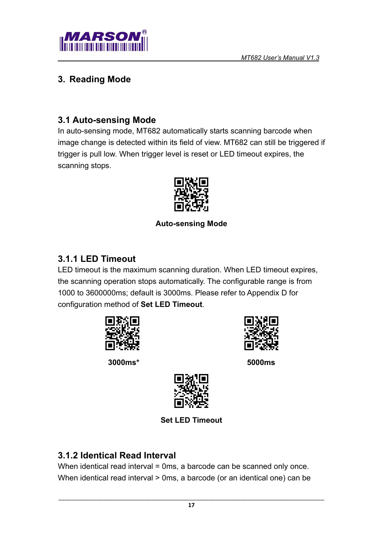

# <span id="page-16-0"></span>**3. Reading Mode**

#### <span id="page-16-1"></span>**3.1 Auto-sensing Mode**

In auto-sensing mode, MT682 automatically starts scanning barcode when image change is detected within its field of view. MT682 can still be triggered if trigger is pull low. When trigger level is reset or LED timeout expires, the scanning stops.



#### **Auto-sensing Mode**

# <span id="page-16-2"></span>**3.1.1 LED Timeout**

LED timeout is the maximum scanning duration. When LED timeout expires, the scanning operation stops automatically. The configurable range is from 1000 to 3600000ms; default is 3000ms. Please refer to Appendix D for configuration method of **Set LED Timeout**.



**3000ms\* 5000ms**





**Set LED Timeout**

#### <span id="page-16-3"></span>**3.1.2 Identical Read Interval**

When identical read interval = 0ms, a barcode can be scanned only once. When identical read interval > 0ms, a barcode (or an identical one) can be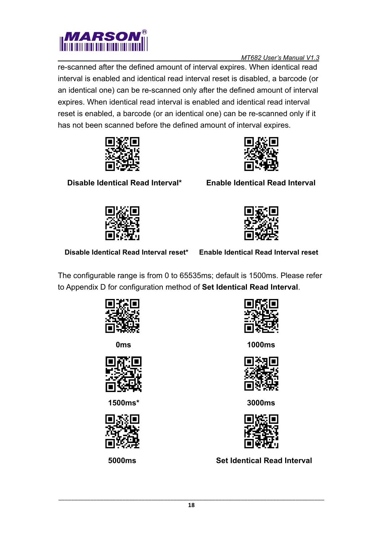

re-scanned after the defined amount of interval expires. When identical read interval is enabled and identical read interval reset is disabled, a barcode (or an identical one) can be re-scanned only after the defined amount of interval expires. When identical read interval is enabled and identical read interval reset is enabled, a barcode (or an identical one) can be re-scanned only if it has not been scanned before the defined amount of interval expires.





**Disable Identical Read Interval\* Enable Identical Read Interval**







**Disable Identical Read Interval reset\* Enable Identical Read Interval reset**

The configurable range is from 0 to 65535ms; default is 1500ms. Please refer to Appendix D for configuration method of **Set Identical Read Interval**.





**1500ms\* 3000ms**





**0ms 1000ms**





**5000ms Set Identical Read Interval**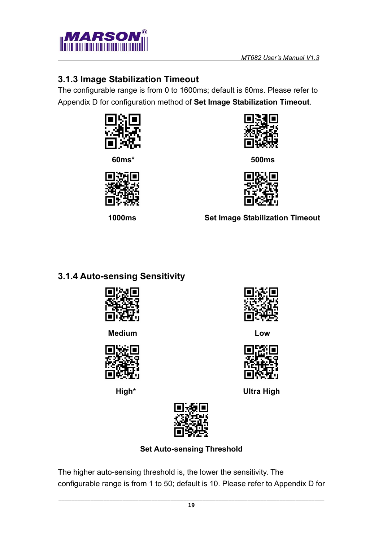

#### <span id="page-18-0"></span>**3.1.3 Image Stabilization Timeout**

The configurable range is from 0 to 1600ms; default is 60ms. Please refer to Appendix D for configuration method of **Set Image Stabilization Timeout**.







**60ms\* 500ms**



**1000ms Set Image Stabilization Timeout**

# <span id="page-18-1"></span>**3.1.4 Auto-sensing Sensitivity**



**Medium Low**







**High\* Ultra High**



#### **Set Auto-sensing Threshold**

The higher auto-sensing threshold is, the lower the sensitivity. The configurable range is from 1 to 50; default is 10. Please refer to Appendix D for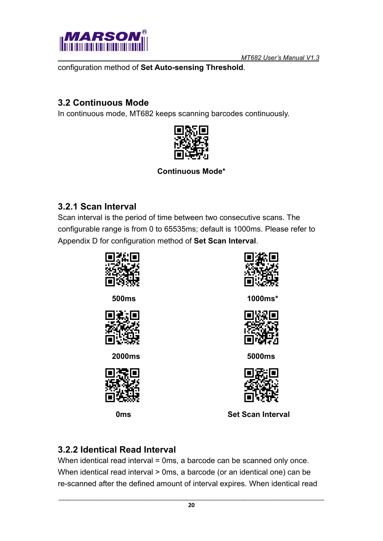

configuration method of **Set Auto-sensing Threshold**.

# <span id="page-19-0"></span>**3.2 Continuous Mode**

In continuous mode, MT682 keeps scanning barcodes continuously.



**Continuous Mode\***

# <span id="page-19-1"></span>**3.2.1 Scan Interval**

Scan interval is the period of time between two consecutive scans. The configurable range is from 0 to 65535ms; default is 1000ms. Please refer to Appendix D for configuration method of **Set Scan Interval**.





**2000ms 5000ms**





**500ms 1000ms\***





**0ms Set Scan Interval**

# <span id="page-19-2"></span>**3.2.2 Identical Read Interval**

When identical read interval = 0ms, a barcode can be scanned only once. When identical read interval > 0ms, a barcode (or an identical one) can be re-scanned after the defined amount of interval expires. When identical read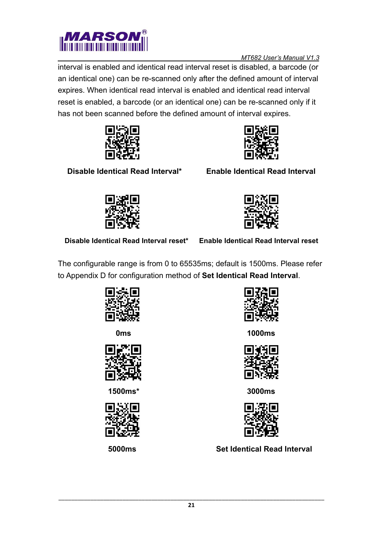

interval is enabled and identical read interval reset is disabled, a barcode (or an identical one) can be re-scanned only after the defined amount of interval expires. When identical read interval is enabled and identical read interval reset is enabled, a barcode (or an identical one) can be re-scanned only if it has not been scanned before the defined amount of interval expires.





**Disable Identical Read Interval\* Enable Identical Read Interval**



**Disable Identical Read Interval reset\* Enable Identical Read Interval reset**

The configurable range is from 0 to 65535ms; default is 1500ms. Please refer to Appendix D for configuration method of **Set Identical Read Interval**.





**1500ms\* 3000ms**





**0ms 1000ms**





**5000ms Set Identical Read Interval**

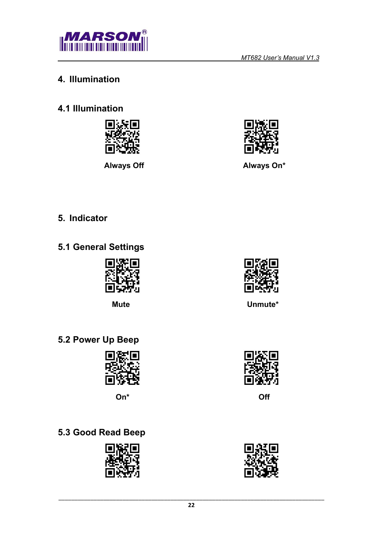

# <span id="page-21-0"></span>**4. Illumination**

# <span id="page-21-1"></span>**4.1 Illumination**





**Always Off Always On\***

# <span id="page-21-2"></span>**5. Indicator**

# <span id="page-21-3"></span>**5.1 General Settings**





**Mute Unmute\***

<span id="page-21-4"></span>**5.2 Power Up Beep**



**On\* Off**

# <span id="page-21-5"></span>**5.3 Good Read Beep**





**22**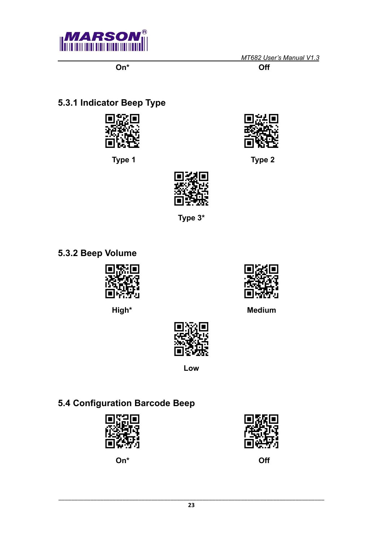

**On\* Off**

# <span id="page-22-0"></span>**5.3.1 Indicator Beep Type**



**Type 1** Type 2





**Type 3\***

<span id="page-22-1"></span>**5.3.2 Beep Volume**





**High\* Medium**



**Low**

# <span id="page-22-2"></span>**5.4 Configuration Barcode Beep**



**On\* Off**

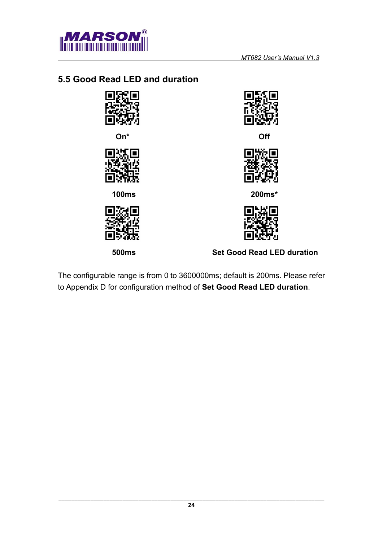

# <span id="page-23-0"></span>**5.5 Good Read LED and duration**









The configurable range is from 0 to 3600000ms; default is 200ms. Please refer to Appendix D for configuration method of **Set Good Read LED duration**.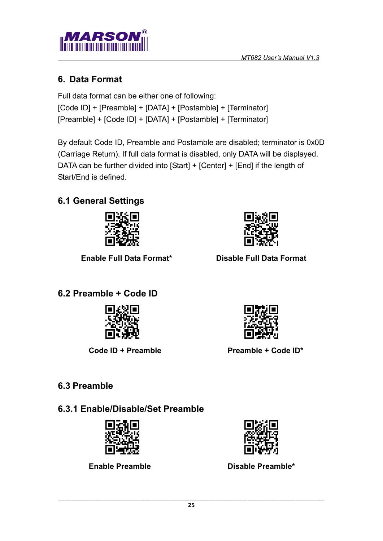

# <span id="page-24-0"></span>**6. Data Format**

Full data format can be either one of following: [Code ID] + [Preamble] + [DATA] + [Postamble] + [Terminator] [Preamble] + [Code ID] + [DATA] + [Postamble] + [Terminator]

By default Code ID, Preamble and Postamble are disabled; terminator is 0x0D (Carriage Return). If full data format is disabled, only DATA will be displayed. DATA can be further divided into [Start] + [Center] + [End] if the length of Start/End is defined.

# <span id="page-24-1"></span>**6.1 General Settings**





**Enable Full Data Format\* Disable Full Data Format**

# <span id="page-24-2"></span>**6.2 Preamble + Code ID**





Code ID + Preamble **Preamble + Code ID\*** 

# <span id="page-24-4"></span><span id="page-24-3"></span>**6.3 Preamble**

# **6.3.1 Enable/Disable/Set Preamble**





**Enable Preamble Disable Preamble\***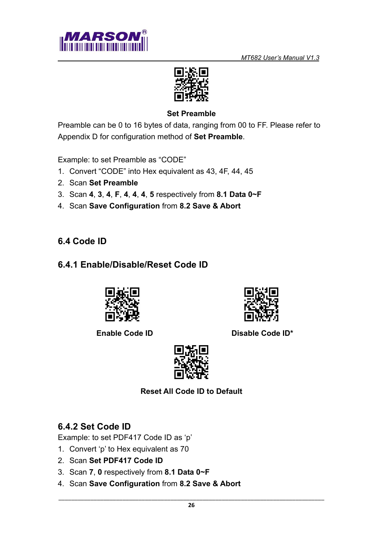



#### **Set Preamble**

Preamble can be 0 to 16 bytes of data, ranging from 00 to FF. Please refer to Appendix D for configuration method of **Set Preamble**.

Example: to set Preamble as "CODE"

- 1. Convert "CODE" into Hex equivalent as 43, 4F, 44, 45
- 2. Scan **Set Preamble**
- 3. Scan **4**, **3**, **4**, **F**, **4**, **4**, **4**, **5** respectively from **8.1 Data 0~F**
- 4. Scan **Save Configuration** from **8.2 Save & Abort**

#### <span id="page-25-1"></span><span id="page-25-0"></span>**6.4 Code ID**

#### **6.4.1 Enable/Disable/Reset Code ID**





**Enable Code ID Disable Code ID\*** 



**Reset All Code ID to Default**

#### <span id="page-25-2"></span>**6.4.2 Set Code ID**

Example: to set PDF417 Code ID as 'p'

- 1. Convert 'p' to Hex equivalent as 70
- 2. Scan **Set PDF417 Code ID**
- 3. Scan **7**, **0** respectively from **8.1 Data 0~F**
- 4. Scan **Save Configuration** from **8.2 Save & Abort**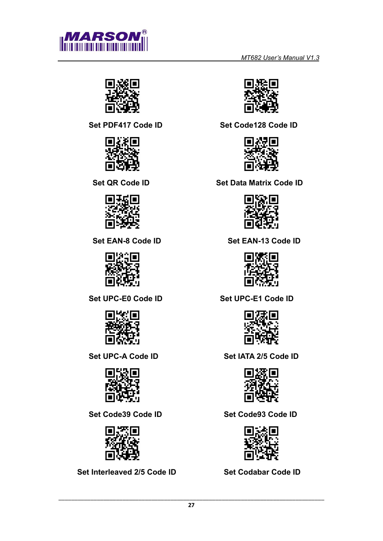









**Set UPC-E0 Code ID** Set UPC-E1 Code ID





**Set Code39 Code ID** Set Code93 Code ID



**Set Interleaved 2/5 Code ID** Set Codabar Code ID



Set PDF417 Code ID Set Code128 Code ID



**Set QR Code ID** Set Data Matrix Code ID



**Set EAN-8 Code ID Set EAN-13 Code ID**





**Set UPC-A Code ID** Set IATA 2/5 Code ID



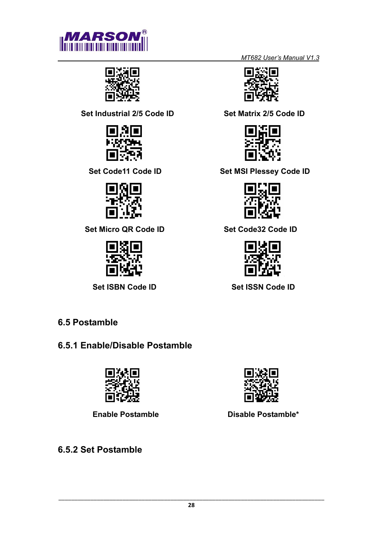



**Set Industrial 2/5 Code ID Set Matrix 2/5 Code ID**





**Set Micro QR Code ID** Set Code32 Code ID



**Set ISBN Code ID** Set ISSN Code ID

 *MT682 User's Manual V1.3*





**Set Code11 Code ID** Set MSI Plessey Code ID





<span id="page-27-1"></span><span id="page-27-0"></span>**6.5 Postamble**

# **6.5.1 Enable/Disable Postamble**



<span id="page-27-2"></span>**6.5.2 Set Postamble**



**Enable Postamble Disable Postamble\***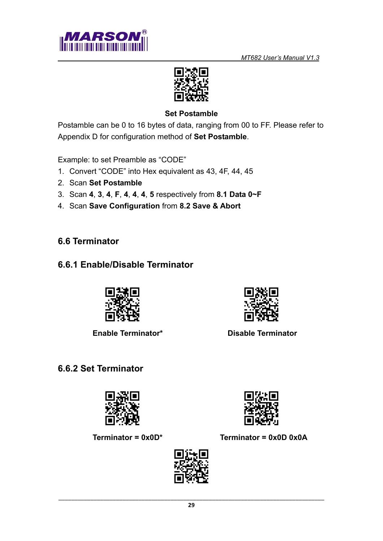



#### **Set Postamble**

Postamble can be 0 to 16 bytes of data, ranging from 00 to FF. Please refer to Appendix D for configuration method of **Set Postamble**.

Example: to set Preamble as "CODE"

- 1. Convert "CODE" into Hex equivalent as 43, 4F, 44, 45
- 2. Scan **Set Postamble**
- 3. Scan **4**, **3**, **4**, **F**, **4**, **4**, **4**, **5** respectively from **8.1 Data 0~F**
- 4. Scan **Save Configuration** from **8.2 Save & Abort**

#### <span id="page-28-1"></span><span id="page-28-0"></span>**6.6 Terminator**

#### **6.6.1 Enable/Disable Terminator**





**Enable Terminator\* Disable Terminator**

#### <span id="page-28-2"></span>**6.6.2 Set Terminator**





**Terminator = 0x0D\* Terminator = 0x0D 0x0A**

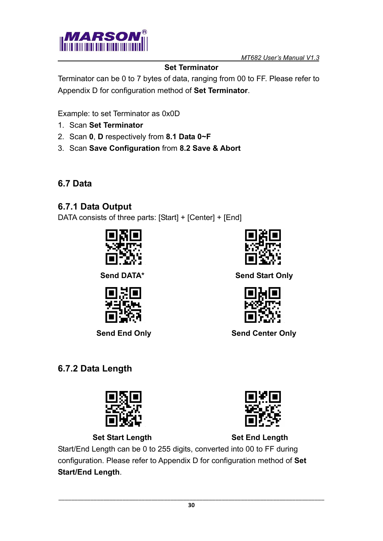

#### **Set Terminator**

Terminator can be 0 to 7 bytes of data, ranging from 00 to FF. Please refer to Appendix D for configuration method of **Set Terminator**.

Example: to set Terminator as 0x0D

- 1. Scan **Set Terminator**
- 2. Scan **0**, **D** respectively from **8.1 Data 0~F**
- 3. Scan **Save Configuration** from **8.2 Save & Abort**

# <span id="page-29-1"></span><span id="page-29-0"></span>**6.7 Data**

# **6.7.1 Data Output**

DATA consists of three parts: [Start] + [Center] + [End]







Send DATA\* Send Start Only



 **Send End Only Send Center Only**

# <span id="page-29-2"></span>**6.7.2 Data Length**



**Set Start Length Set End Length** 

Start/End Length can be 0 to 255 digits, converted into 00 to FF during configuration. Please refer to Appendix D for configuration method of **Set Start/End Length**.

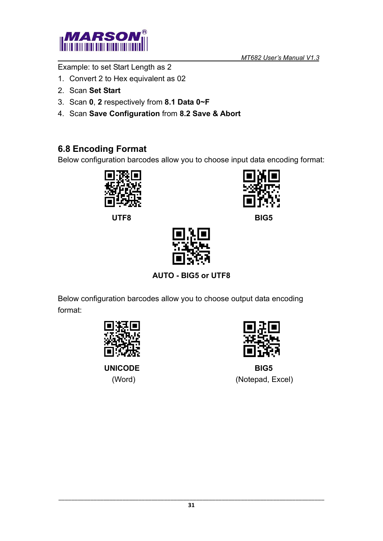

Example: to set Start Length as 2

- 1. Convert 2 to Hex equivalent as 02
- 2. Scan **Set Start**
- 3. Scan **0**, **2** respectively from **8.1 Data 0~F**
- 4. Scan **Save Configuration** from **8.2 Save & Abort**

#### <span id="page-30-0"></span>**6.8 Encoding Format**

Below configuration barcodes allow you to choose input data encoding format:





 **UTF8 BIG5**



**AUTO - BIG5 or UTF8**

Below configuration barcodes allow you to choose output data encoding format:





**UNICODE BIG5** (Word) (Notepad, Excel)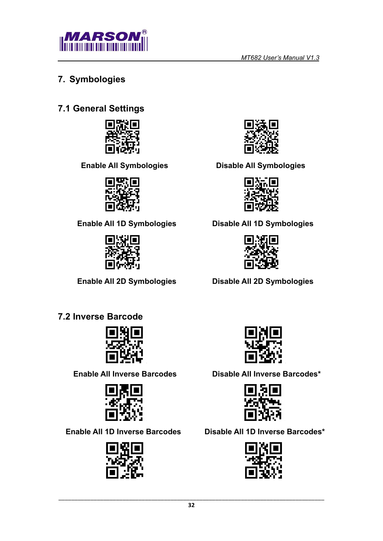

# <span id="page-31-0"></span>**7. Symbologies**

# <span id="page-31-1"></span>**7.1 General Settings**









**Enable All Symbologies Disable All Symbologies**



**Enable All 1D Symbologies Disable All 1D Symbologies**



**Enable All 2D Symbologies Disable All 2D Symbologies**

# <span id="page-31-2"></span>**7.2 Inverse Barcode**









**Enable All Inverse Barcodes Disable All Inverse Barcodes\***



 **Enable All 1D Inverse Barcodes Disable All 1D Inverse Barcodes\***

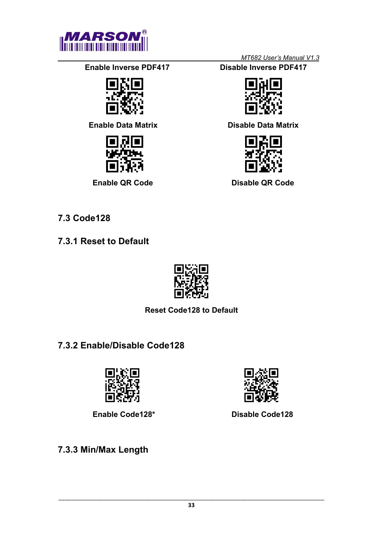





<span id="page-32-0"></span>**7.3 Code128**

<span id="page-32-1"></span>**7.3.1 Reset to Default**



**Reset Code128 to Default**

# <span id="page-32-2"></span>**7.3.2 Enable/Disable Code128**



**Enable Code128\* Disable Code128**

<span id="page-32-3"></span>**7.3.3 Min/Max Length**





**Enable Data Matrix Disable Data Matrix**



**Enable QR Code Disable QR Code**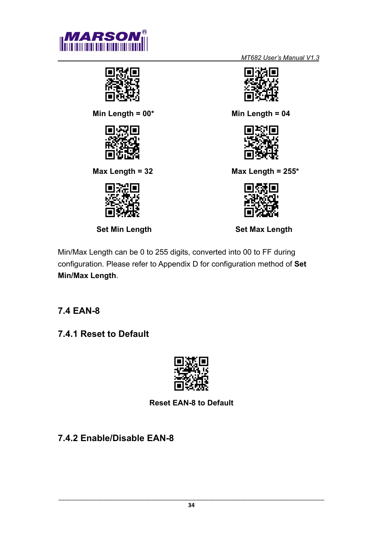



**Min Length = 00\* Min Length = 04**







Max Length = 32 Max Length = 255<sup>\*</sup>



**Set Min Length Set Max Length** 

Min/Max Length can be 0 to 255 digits, converted into 00 to FF during configuration. Please refer to Appendix D for configuration method of **Set Min/Max Length**.

# <span id="page-33-1"></span><span id="page-33-0"></span>**7.4 EAN-8**

**7.4.1 Reset to Default**



**Reset EAN-8 to Default**

# <span id="page-33-2"></span>**7.4.2 Enable/Disable EAN-8**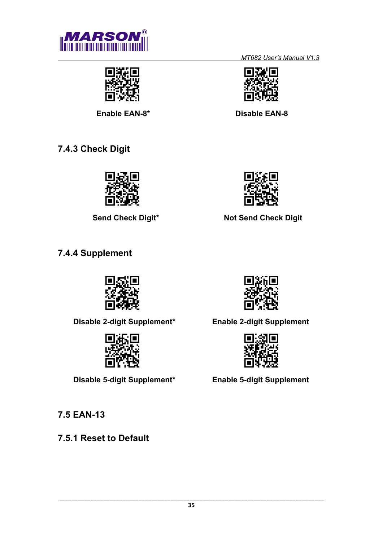



**Enable EAN-8\* Disable EAN-8**

<span id="page-34-0"></span>**7.4.3 Check Digit**





Send Check Digit\* Not Send Check Digit

# <span id="page-34-1"></span>**7.4.4 Supplement**



**Disable 2-digit Supplement\* Enable 2-digit Supplement**



**Disable 5-digit Supplement\* Enable 5-digit Supplement**

<span id="page-34-2"></span>**7.5 EAN-13**

<span id="page-34-3"></span>**7.5.1 Reset to Default**



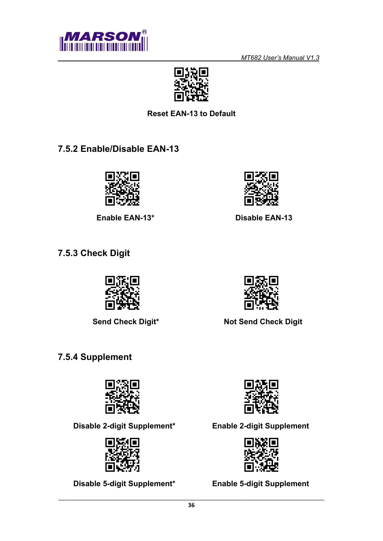



#### **Reset EAN-13 to Default**

# <span id="page-35-0"></span>**7.5.2 Enable/Disable EAN-13**



**Enable EAN-13\* Disable EAN-13**



<span id="page-35-1"></span>**7.5.3 Check Digit**



# <span id="page-35-2"></span>**7.5.4 Supplement**



**Disable 2-digit Supplement\* Enable 2-digit Supplement**



**Disable 5-digit Supplement\* Enable 5-digit Supplement**



Send Check Digit\* Not Send Check Digit



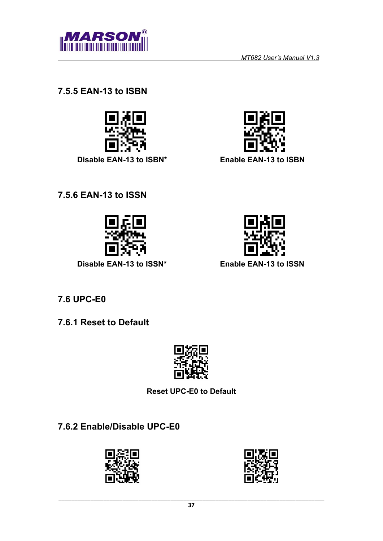

**7.5.5 EAN-13 to ISBN**



**Disable EAN-13 to ISBN\* Enable EAN-13 to ISBN**



**7.5.6 EAN-13 to ISSN**





**Disable EAN-13 to ISSN\* Enable EAN-13 to ISSN**

**7.6 UPC-E0**

**7.6.1 Reset to Default**



**Reset UPC-E0 to Default**

**7.6.2 Enable/Disable UPC-E0**



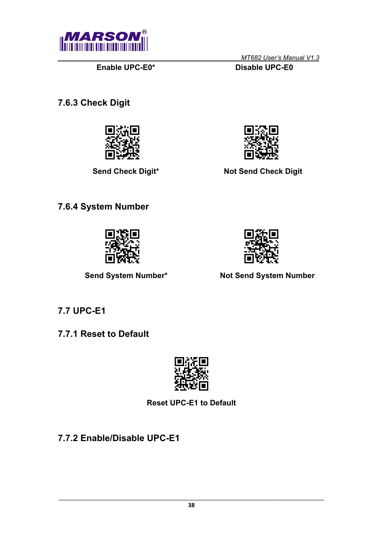

**Enable UPC-E0\* Disable UPC-E0**

 *MT682 User's Manual V1.3*

**7.6.3 Check Digit**





Send Check Digit\* Not Send Check Digit

### **7.6.4 System Number**





Send System Number\* Not Send System Number

## **7.7 UPC-E1**

**7.7.1 Reset to Default**



**Reset UPC-E1 to Default**

## **7.7.2 Enable/Disable UPC-E1**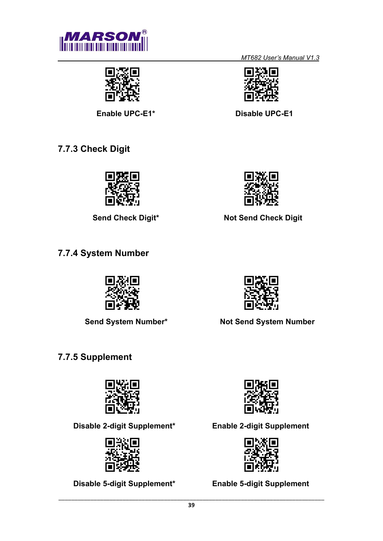



**Enable UPC-E1\* Disable UPC-E1**

**7.7.3 Check Digit**



**Send Check Digit\*** Not Send Check Digit





# **7.7.5 Supplement**



**Disable 2-digit Supplement\* Enable 2-digit Supplement**





Send System Number\* Not Send System Number





**Disable 5-digit Supplement\* Enable 5-digit Supplement**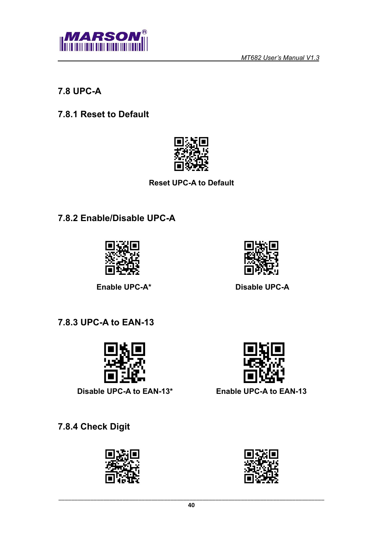

**7.8 UPC-A**

**7.8.1 Reset to Default**



**Reset UPC-A to Default**

**7.8.2 Enable/Disable UPC-A**



**Enable UPC-A\* Disable UPC-A**



## **7.8.3 UPC-A to EAN-13**



**Disable UPC-A to EAN-13\* Enable UPC-A to EAN-13**

**7.8.4 Check Digit**





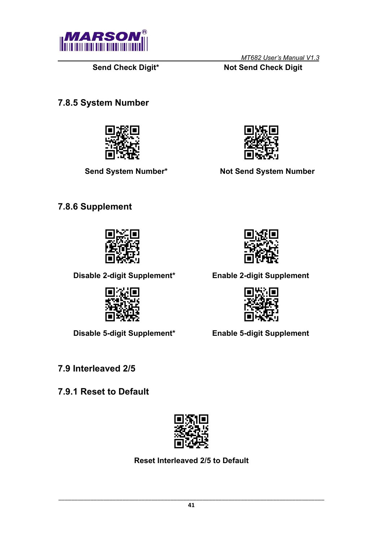

 *MT682 User's Manual V1.3* Send Check Digit\* Not Send Check Digit

### **7.8.5 System Number**





Send System Number\* Not Send System Number

#### **7.8.6 Supplement**



**Disable 2-digit Supplement\* Enable 2-digit Supplement**



**Disable 5-digit Supplement\* Enable 5-digit Supplement**

### **7.9 Interleaved 2/5**

**7.9.1 Reset to Default**



**Reset Interleaved 2/5 to Default**



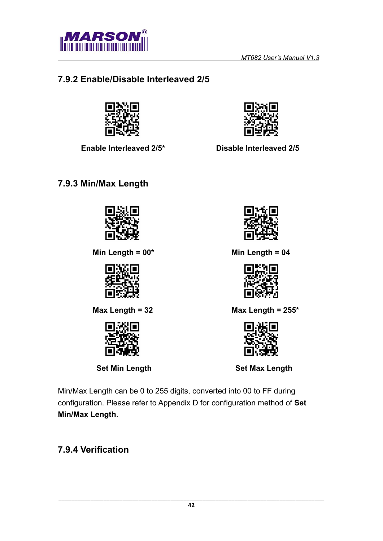

### **7.9.2 Enable/Disable Interleaved 2/5**





**Enable Interleaved 2/5\* Disable Interleaved 2/5**

#### **7.9.3 Min/Max Length**



**Min Length = 00\* Min Length = 04**









**Max Length = 32 Max Length = 255\***



**Set Min Length Set Max Length** 

Min/Max Length can be 0 to 255 digits, converted into 00 to FF during configuration. Please refer to Appendix D for configuration method of **Set Min/Max Length**.

## **7.9.4 Verification**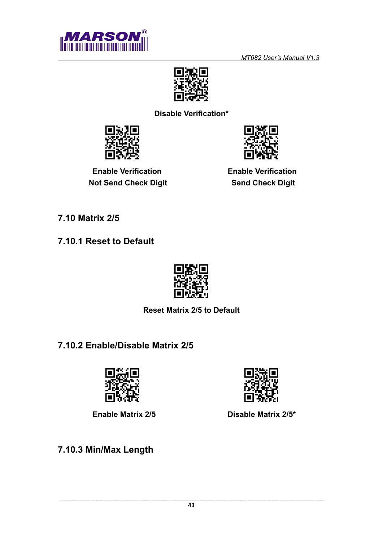



**Disable Verification\***



**Enable Verification Enable Verification Not Send Check Digit Send Check Digit**



**7.10 Matrix 2/5**

**7.10.1 Reset to Default**



**Reset Matrix 2/5 to Default**

## **7.10.2 Enable/Disable Matrix 2/5**



**7.10.3 Min/Max Length**



**Enable Matrix 2/5 Disable Matrix 2/5\***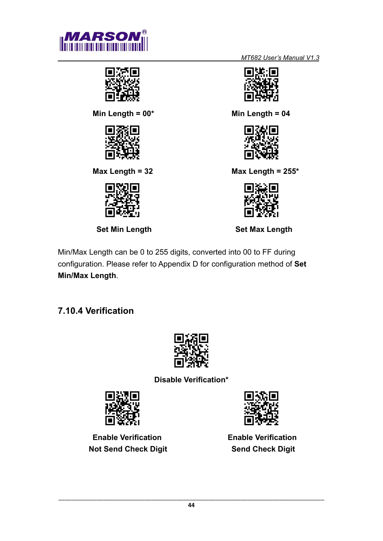



**Min Length = 00\* Min Length = 04**





**Set Min Length Set Max Length** 



**Max Length = 32 Max Length = 255\***



Min/Max Length can be 0 to 255 digits, converted into 00 to FF during configuration. Please refer to Appendix D for configuration method of **Set Min/Max Length**.

**7.10.4 Verification**



**Disable Verification\***



**Enable Verification Enable Verification Not Send Check Digit Send Check Digit** 

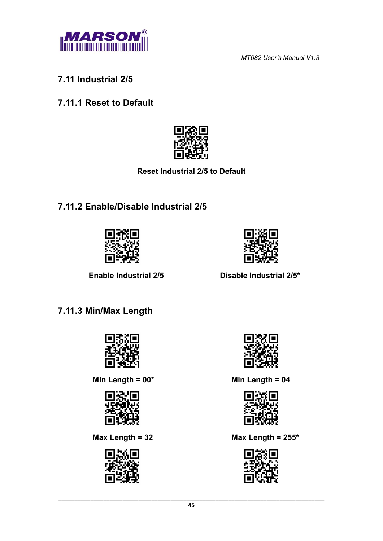

**7.11 Industrial 2/5**

**7.11.1 Reset to Default**



**Reset Industrial 2/5 to Default**

### **7.11.2 Enable/Disable Industrial 2/5**





**Enable Industrial 2/5 Disable Industrial 2/5\***

**7.11.3 Min/Max Length**



**Min Length = 00\* Min Length = 04**









**Max Length = 32 Max Length = 255\***

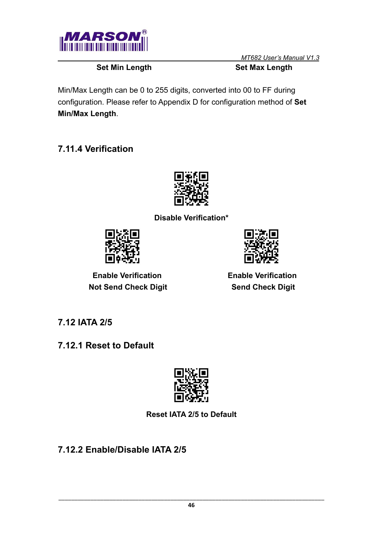

**Set Min Length Set Max Length** 

 *MT682 User's Manual V1.3*

Min/Max Length can be 0 to 255 digits, converted into 00 to FF during configuration. Please refer to Appendix D for configuration method of **Set Min/Max Length**.

## **7.11.4 Verification**



**Disable Verification\***



**Enable Verification Enable Verification Not Send Check Digit Send Check Digit** 



**7.12 IATA 2/5**

**7.12.1 Reset to Default**



**Reset IATA 2/5 to Default**

**7.12.2 Enable/Disable IATA 2/5**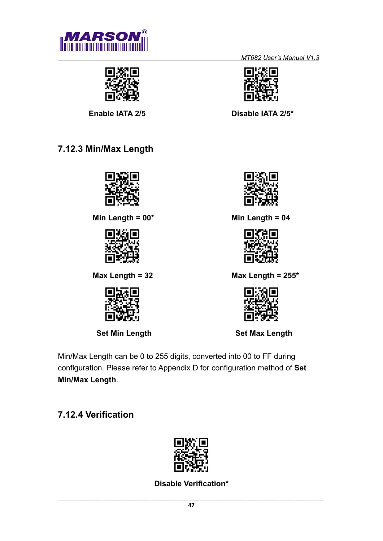



**Enable IATA 2/5 Disable IATA 2/5\***

## **7.12.3 Min/Max Length**



**Min Length = 00\* Min Length = 04**









**Max Length = 32 Max Length = 255\***



**Set Min Length Set Max Length** 

Min/Max Length can be 0 to 255 digits, converted into 00 to FF during configuration. Please refer to Appendix D for configuration method of **Set Min/Max Length**.

## **7.12.4 Verification**



**Disable Verification\***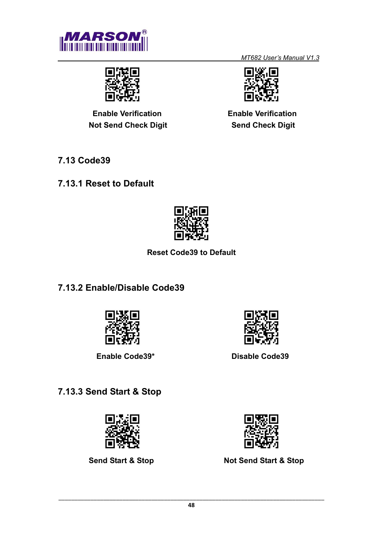



**Enable Verification Enable Verification Not Send Check Digit Send Check Digit** 



**7.13 Code39**

**7.13.1 Reset to Default**



**Reset Code39 to Default**

**7.13.2 Enable/Disable Code39**



**Enable Code39\* Disable Code39**



**7.13.3 Send Start & Stop**





**Send Start & Stop Not Send Start & Stop**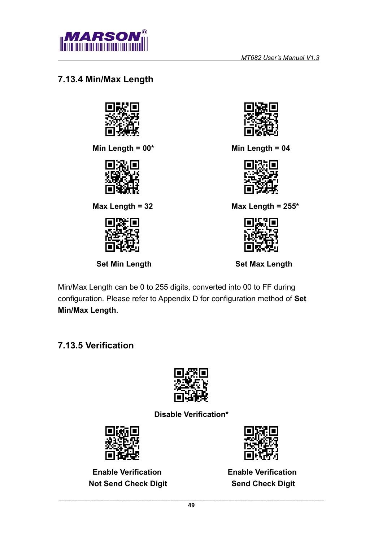

#### **7.13.4 Min/Max Length**



**Min Length = 00\* Min Length = 04**









**Max Length = 32 Max Length = 255\***



**Set Min Length Set Max Length** 

Min/Max Length can be 0 to 255 digits, converted into 00 to FF during configuration. Please refer to Appendix D for configuration method of **Set Min/Max Length**.

**7.13.5 Verification**



**Disable Verification\***



**Enable Verification Enable Verification Not Send Check Digit Send Check Digit**

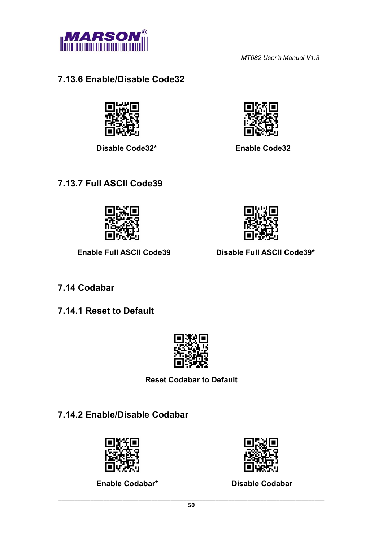

### **7.13.6 Enable/Disable Code32**



**Disable Code32\* Enable Code32**



#### **7.13.7 Full ASCII Code39**



**Enable Full ASCII Code39 Disable Full ASCII Code39\***

**7.14 Codabar**

**7.14.1 Reset to Default**



**Reset Codabar to Default**

### **7.14.2 Enable/Disable Codabar**



**Enable Codabar\* Disable Codabar**

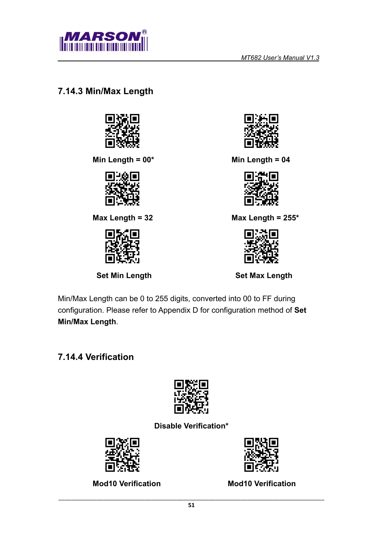

#### **7.14.3 Min/Max Length**



**Min Length = 00\* Min Length = 04**









Max Length = 32 Max Length = 255<sup>\*</sup>



**Set Min Length Set Max Length** 

Min/Max Length can be 0 to 255 digits, converted into 00 to FF during configuration. Please refer to Appendix D for configuration method of **Set Min/Max Length**.

**7.14.4 Verification**



**Disable Verification\***



**Mod10 Verification Mod10 Verification**

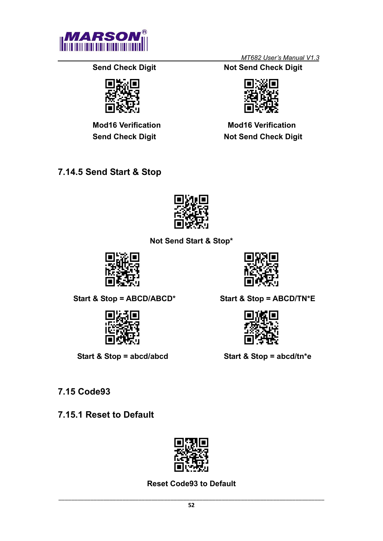



**Send Check Digit Not Send Check Digit** 



**Mod16 Verification Mod16 Verification Send Check Digit Not Send Check Digit** 

## **7.14.5 Send Start & Stop**



**Not Send Start & Stop\***





**Start & Stop = ABCD/ABCD\* Start & Stop = ABCD/TN\*E**



Start & Stop = abcd/abcd Start & Stop = abcd/tn<sup>\*</sup>e





## **7.15 Code93**

## **7.15.1 Reset to Default**



#### **Reset Code93 to Default**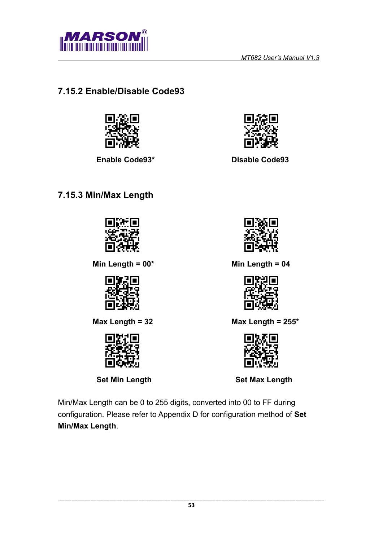

## **7.15.2 Enable/Disable Code93**



**Enable Code93\* Disable Code93**



## **7.15.3 Min/Max Length**



**Min Length = 00\* Min Length = 04**









**Max Length = 32 Max Length = 255\***



**Set Min Length Set Max Length** 

Min/Max Length can be 0 to 255 digits, converted into 00 to FF during configuration. Please refer to Appendix D for configuration method of **Set Min/Max Length**.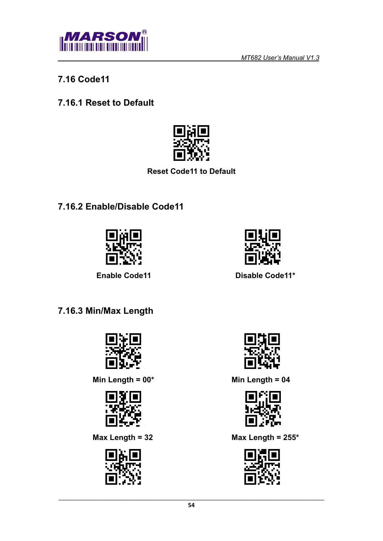

**7.16 Code11**

**7.16.1 Reset to Default**



**Reset Code11 to Default**

**7.16.2 Enable/Disable Code11**





Enable Code11 Disable Code11\*

**7.16.3 Min/Max Length**



**Min Length = 00\* Min Length = 04**









**Max Length = 32 Max Length = 255\***

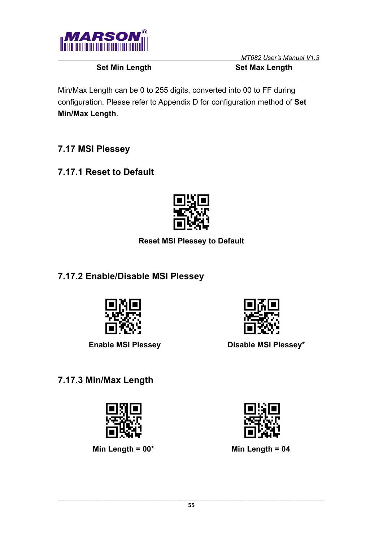

**Set Min Length Set Max Length** 

 *MT682 User's Manual V1.3*

Min/Max Length can be 0 to 255 digits, converted into 00 to FF during configuration. Please refer to Appendix D for configuration method of **Set Min/Max Length**.

## **7.17 MSI Plessey**

## **7.17.1 Reset to Default**



**Reset MSI Plessey to Default**

### **7.17.2 Enable/Disable MSI Plessey**







**Min Length = 00\* Min Length = 04**



Enable MSI Plessey **Disable MSI Plessey**\*

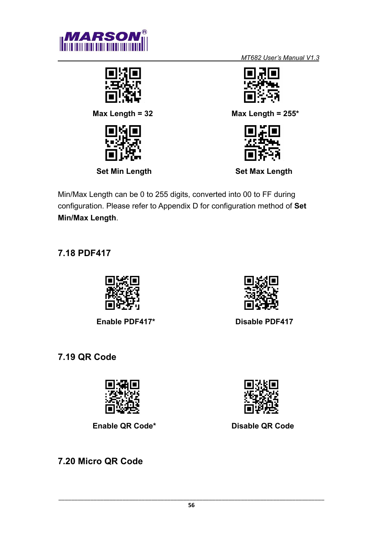





**Max Length = 32 Max Length = 255\***



**Set Min Length Set Max Length** 

Min/Max Length can be 0 to 255 digits, converted into 00 to FF during configuration. Please refer to Appendix D for configuration method of **Set Min/Max Length**.

## **7.18 PDF417**



Enable PDF417\* Disable PDF417

## **7.19 QR Code**



**Enable QR Code\* Disable QR Code**

## **7.20 Micro QR Code**



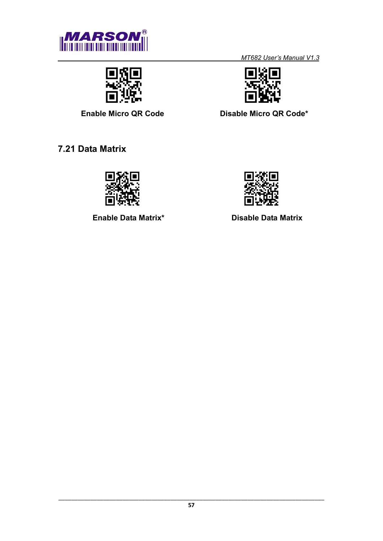





**Enable Micro QR Code Disable Micro QR Code\***

**7.21 Data Matrix**



**Enable Data Matrix\* Disable Data Matrix**

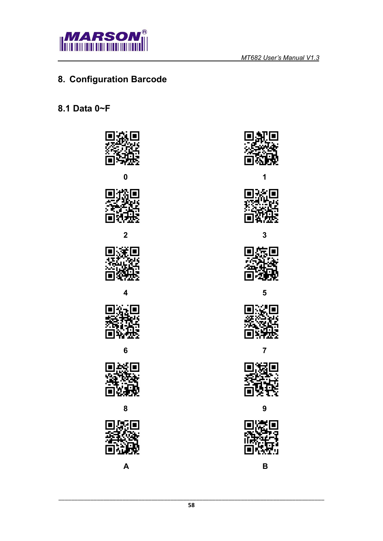

# **8. Configuration Barcode**

### **8.1 Data 0~F**























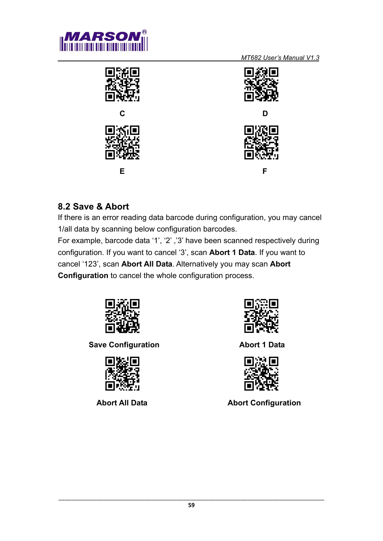



### **8.2 Save & Abort**

If there is an error reading data barcode during configuration, you may cancel 1/all data by scanning below configuration barcodes.

For example, barcode data '1', '2' ,'3' have been scanned respectively during configuration. If you want to cancel '3', scan **Abort 1 Data**. If you want to cancel '123', scan **Abort All Data**. Alternatively you may scan **Abort Configuration** to cancel the whole configuration process.



**Save Configuration Abort 1 Data** 







**Abort All Data Abort Configuration**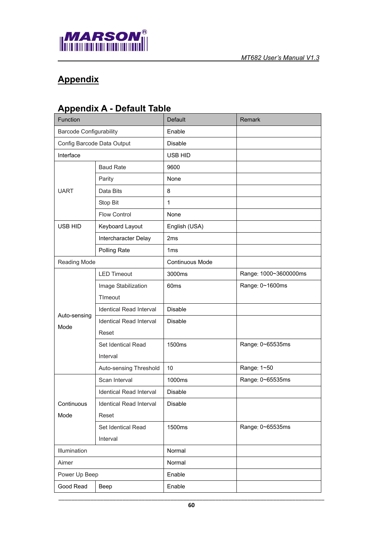

# **Appendix**

# **Appendix A - Default Table**

| Function                       |                                | Default          | Remark                |  |
|--------------------------------|--------------------------------|------------------|-----------------------|--|
| <b>Barcode Configurability</b> |                                | Enable           |                       |  |
| Config Barcode Data Output     |                                | Disable          |                       |  |
| Interface                      |                                | USB HID          |                       |  |
|                                | <b>Baud Rate</b>               | 9600             |                       |  |
|                                | Parity                         | None             |                       |  |
| <b>UART</b>                    | Data Bits                      | 8                |                       |  |
|                                | Stop Bit                       | 1                |                       |  |
|                                | <b>Flow Control</b>            | None             |                       |  |
| USB HID                        | Keyboard Layout                | English (USA)    |                       |  |
|                                | Intercharacter Delay           | 2ms              |                       |  |
|                                | Polling Rate                   | 1 <sub>ms</sub>  |                       |  |
| Reading Mode                   |                                | Continuous Mode  |                       |  |
|                                | <b>LED Timeout</b>             | 3000ms           | Range: 1000~3600000ms |  |
|                                | Image Stabilization            | 60 <sub>ms</sub> | Range: 0~1600ms       |  |
|                                | TImeout                        |                  |                       |  |
| Auto-sensing                   | Identical Read Interval        | <b>Disable</b>   |                       |  |
| Mode                           | Identical Read Interval        | <b>Disable</b>   |                       |  |
|                                | Reset                          |                  |                       |  |
|                                | Set Identical Read             | 1500ms           | Range: 0~65535ms      |  |
|                                | Interval                       |                  |                       |  |
|                                | Auto-sensing Threshold         | 10               | Range: 1~50           |  |
|                                | Scan Interval                  | 1000ms           | Range: 0~65535ms      |  |
|                                | Identical Read Interval        | Disable          |                       |  |
| Continuous                     | <b>Identical Read Interval</b> | Disable          |                       |  |
| Mode                           | Reset                          |                  |                       |  |
|                                | Set Identical Read             | 1500ms           | Range: 0~65535ms      |  |
|                                | Interval                       |                  |                       |  |
| Illumination                   |                                | Normal           |                       |  |
| Aimer                          |                                | Normal           |                       |  |
| Power Up Beep                  |                                | Enable           |                       |  |
| Good Read<br>Beep              |                                | Enable           |                       |  |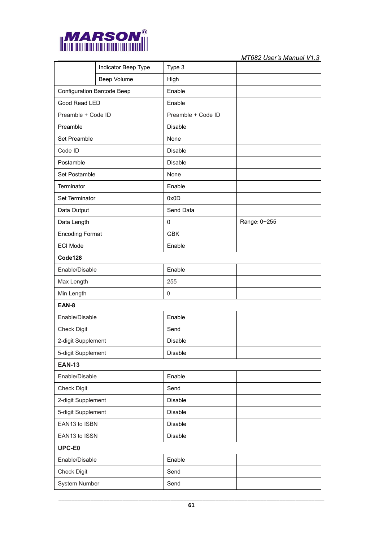

| Indicator Beep Type        |             | Type 3             |              |  |
|----------------------------|-------------|--------------------|--------------|--|
|                            | Beep Volume | High               |              |  |
| Configuration Barcode Beep |             | Enable             |              |  |
| Good Read LED              |             | Enable             |              |  |
| Preamble + Code ID         |             | Preamble + Code ID |              |  |
| Preamble                   |             | <b>Disable</b>     |              |  |
| Set Preamble               |             | None               |              |  |
| Code ID                    |             | <b>Disable</b>     |              |  |
| Postamble                  |             | <b>Disable</b>     |              |  |
| Set Postamble              |             | None               |              |  |
| Terminator                 |             | Enable             |              |  |
| Set Terminator             |             | 0x0D               |              |  |
| Data Output                |             | Send Data          |              |  |
| Data Length                |             | 0                  | Range: 0~255 |  |
| <b>Encoding Format</b>     |             | <b>GBK</b>         |              |  |
| <b>ECI Mode</b>            |             | Enable             |              |  |
| Code128                    |             |                    |              |  |
| Enable/Disable             |             | Enable             |              |  |
| Max Length                 |             | 255                |              |  |
| Min Length                 |             | $\pmb{0}$          |              |  |
| <b>EAN-8</b>               |             |                    |              |  |
| Enable/Disable             |             | Enable             |              |  |
| <b>Check Digit</b>         |             | Send               |              |  |
| 2-digit Supplement         |             | Disable            |              |  |
| 5-digit Supplement         |             | Disable            |              |  |
| <b>EAN-13</b>              |             |                    |              |  |
| Enable/Disable             |             | Enable             |              |  |
| <b>Check Digit</b>         |             | Send               |              |  |
| 2-digit Supplement         |             | Disable            |              |  |
| 5-digit Supplement         |             | Disable            |              |  |
| EAN13 to ISBN              |             | Disable            |              |  |
| EAN13 to ISSN              |             | Disable            |              |  |
| UPC-E0                     |             |                    |              |  |
| Enable/Disable             |             | Enable             |              |  |
| <b>Check Digit</b>         |             | Send               |              |  |
| System Number              |             | Send               |              |  |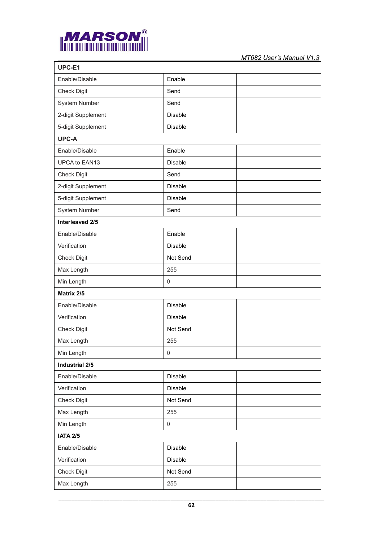

Ì

 *MT682 User's Manual V1.3*

| UPC-E1             |                |  |  |  |
|--------------------|----------------|--|--|--|
| Enable/Disable     | Enable         |  |  |  |
| <b>Check Digit</b> | Send           |  |  |  |
| System Number      | Send           |  |  |  |
| 2-digit Supplement | Disable        |  |  |  |
| 5-digit Supplement | Disable        |  |  |  |
| <b>UPC-A</b>       |                |  |  |  |
| Enable/Disable     | Enable         |  |  |  |
| UPCA to EAN13      | <b>Disable</b> |  |  |  |
| <b>Check Digit</b> | Send           |  |  |  |
| 2-digit Supplement | Disable        |  |  |  |
| 5-digit Supplement | Disable        |  |  |  |
| System Number      | Send           |  |  |  |
| Interleaved 2/5    |                |  |  |  |
| Enable/Disable     | Enable         |  |  |  |
| Verification       | <b>Disable</b> |  |  |  |
| <b>Check Digit</b> | Not Send       |  |  |  |
| Max Length         | 255            |  |  |  |
| Min Length         | $\mathbf 0$    |  |  |  |
| Matrix 2/5         |                |  |  |  |
| Enable/Disable     | <b>Disable</b> |  |  |  |
| Verification       | <b>Disable</b> |  |  |  |
| <b>Check Digit</b> | Not Send       |  |  |  |
| Max Length         | 255            |  |  |  |
| Min Length         | 0              |  |  |  |
| Industrial 2/5     |                |  |  |  |
| Enable/Disable     | Disable        |  |  |  |
| Verification       | Disable        |  |  |  |
| <b>Check Digit</b> | Not Send       |  |  |  |
| Max Length         | 255            |  |  |  |
| Min Length         | 0              |  |  |  |
| <b>IATA 2/5</b>    |                |  |  |  |
| Enable/Disable     | Disable        |  |  |  |
| Verification       | Disable        |  |  |  |
| <b>Check Digit</b> | Not Send       |  |  |  |
| Max Length         | 255            |  |  |  |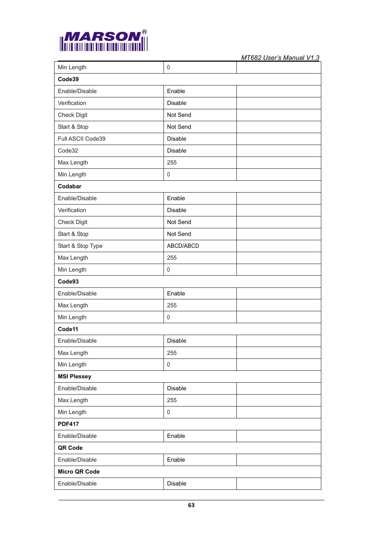

|                      |                | <u>MT682 User's Manual V1.3</u> |
|----------------------|----------------|---------------------------------|
| Min Length           | $\pmb{0}$      |                                 |
| Code39               |                |                                 |
| Enable/Disable       | Enable         |                                 |
| Verification         | Disable        |                                 |
| <b>Check Digit</b>   | Not Send       |                                 |
| Start & Stop         | Not Send       |                                 |
| Full ASCII Code39    | Disable        |                                 |
| Code32               | Disable        |                                 |
| Max Length           | 255            |                                 |
| Min Length           | $\mathsf 0$    |                                 |
| Codabar              |                |                                 |
| Enable/Disable       | Enable         |                                 |
| Verification         | Disable        |                                 |
| <b>Check Digit</b>   | Not Send       |                                 |
| Start & Stop         | Not Send       |                                 |
| Start & Stop Type    | ABCD/ABCD      |                                 |
| Max Length           | 255            |                                 |
| Min Length           | 0              |                                 |
| Code93               |                |                                 |
| Enable/Disable       | Enable         |                                 |
| Max Length           | 255            |                                 |
| Min Length           | $\mathsf 0$    |                                 |
| Code11               |                |                                 |
| Enable/Disable       | <b>Disable</b> |                                 |
| Max Length           | 255            |                                 |
| Min Length           | $\mathsf 0$    |                                 |
| <b>MSI Plessey</b>   |                |                                 |
| Enable/Disable       | Disable        |                                 |
| Max Length           | 255            |                                 |
| Min Length           | $\mathsf 0$    |                                 |
| <b>PDF417</b>        |                |                                 |
| Enable/Disable       | Enable         |                                 |
| QR Code              |                |                                 |
| Enable/Disable       | Enable         |                                 |
| <b>Micro QR Code</b> |                |                                 |
| Enable/Disable       | Disable        |                                 |
|                      |                |                                 |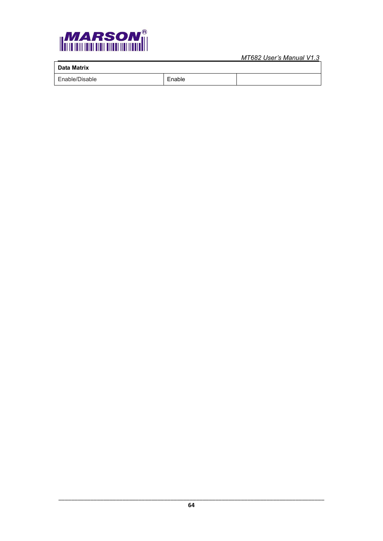

| Data Matrix    |        |  |  |  |
|----------------|--------|--|--|--|
| Enable/Disable | ensure |  |  |  |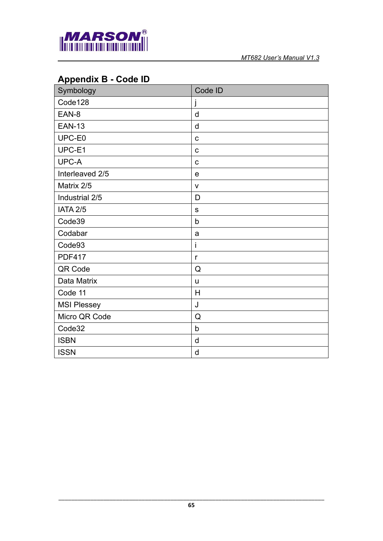

# **Appendix B - Code ID**

| Symbology          | Code ID      |
|--------------------|--------------|
| Code128            | J            |
| EAN-8              | d            |
| <b>EAN-13</b>      | d            |
| UPC-E0             | $\mathbf C$  |
| UPC-E1             | $\mathbf C$  |
| UPC-A              | $\mathbf C$  |
| Interleaved 2/5    | $\mathbf e$  |
| Matrix 2/5         | $\mathsf{V}$ |
| Industrial 2/5     | D            |
| <b>IATA 2/5</b>    | $\mathbf{s}$ |
| Code39             | $\mathsf b$  |
| Codabar            | a            |
| Code93             | i            |
| <b>PDF417</b>      | r            |
| QR Code            | Q            |
| Data Matrix        | $\mathsf{u}$ |
| Code 11            | H            |
| <b>MSI Plessey</b> | J            |
| Micro QR Code      | Q            |
| Code32             | $\mathsf{b}$ |
| <b>ISBN</b>        | d            |
| <b>ISSN</b>        | d            |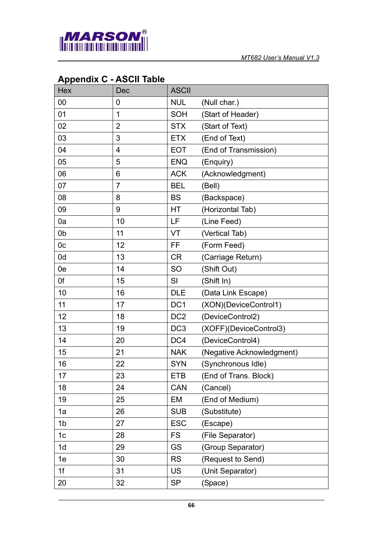

# **Appendix C - ASCII Table**

| <b>Hex</b>     | Dec            | <b>ASCII</b>    |                           |
|----------------|----------------|-----------------|---------------------------|
| 00             | 0              | <b>NUL</b>      | (Null char.)              |
| 01             | 1              | <b>SOH</b>      | (Start of Header)         |
| 02             | $\overline{2}$ | <b>STX</b>      | (Start of Text)           |
| 03             | 3              | <b>ETX</b>      | (End of Text)             |
| 04             | 4              | <b>EOT</b>      | (End of Transmission)     |
| 05             | 5              | <b>ENQ</b>      | (Enquiry)                 |
| 06             | 6              | <b>ACK</b>      | (Acknowledgment)          |
| 07             | $\overline{7}$ | <b>BEL</b>      | (Bell)                    |
| 08             | 8              | <b>BS</b>       | (Backspace)               |
| 09             | 9              | НT              | (Horizontal Tab)          |
| 0a             | 10             | LF              | (Line Feed)               |
| 0b             | 11             | VT              | (Vertical Tab)            |
| 0c             | 12             | FF              | (Form Feed)               |
| 0d             | 13             | <b>CR</b>       | (Carriage Return)         |
| 0e             | 14             | <b>SO</b>       | (Shift Out)               |
| 0f             | 15             | SI              | (Shift In)                |
| 10             | 16             | <b>DLE</b>      | (Data Link Escape)        |
| 11             | 17             | DC <sub>1</sub> | (XON)(DeviceControl1)     |
| 12             | 18             | DC <sub>2</sub> | (DeviceControl2)          |
| 13             | 19             | DC <sub>3</sub> | (XOFF)(DeviceControl3)    |
| 14             | 20             | DC4             | (DeviceControl4)          |
| 15             | 21             | <b>NAK</b>      | (Negative Acknowledgment) |
| 16             | 22             | <b>SYN</b>      | (Synchronous Idle)        |
| 17             | 23             | ETB             | (End of Trans. Block)     |
| 18             | 24             | <b>CAN</b>      | (Cancel)                  |
| 19             | 25             | EM              | (End of Medium)           |
| 1a             | 26             | <b>SUB</b>      | (Substitute)              |
| 1 <sub>b</sub> | 27             | <b>ESC</b>      | (Escape)                  |
| 1 <sub>c</sub> | 28             | <b>FS</b>       | (File Separator)          |
| 1 <sub>d</sub> | 29             | <b>GS</b>       | (Group Separator)         |
| 1e             | 30             | <b>RS</b>       | (Request to Send)         |
| 1f             | 31             | <b>US</b>       | (Unit Separator)          |
| 20             | 32             | <b>SP</b>       | (Space)                   |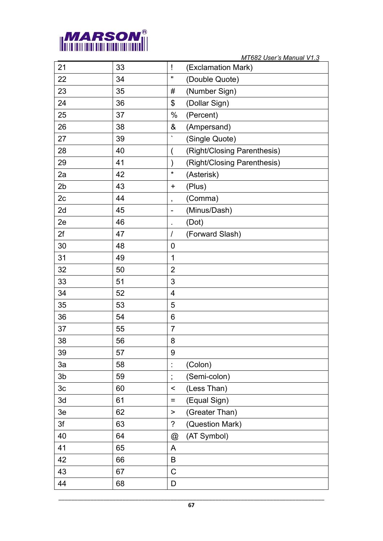

|                |    |                              | <u>MT682 User's Manual V1.3</u> |
|----------------|----|------------------------------|---------------------------------|
| 21             | 33 | Ţ                            | (Exclamation Mark)              |
| 22             | 34 | $\pmb{\mathsf{u}}$           | (Double Quote)                  |
| 23             | 35 | #                            | (Number Sign)                   |
| 24             | 36 | \$                           | (Dollar Sign)                   |
| 25             | 37 | $\%$                         | (Percent)                       |
| 26             | 38 | &                            | (Ampersand)                     |
| 27             | 39 |                              | (Single Quote)                  |
| 28             | 40 |                              | (Right/Closing Parenthesis)     |
| 29             | 41 | $\mathcal Y$                 | (Right/Closing Parenthesis)     |
| 2a             | 42 | $\star$                      | (Asterisk)                      |
| 2 <sub>b</sub> | 43 | $\ddot{}$                    | (Plus)                          |
| 2 <sub>c</sub> | 44 | $\pmb{\mathfrak{z}}$         | (Comma)                         |
| 2d             | 45 | $\qquad \qquad \blacksquare$ | (Minus/Dash)                    |
| 2e             | 46 |                              | (Dot)                           |
| 2f             | 47 | $\prime$                     | (Forward Slash)                 |
| 30             | 48 | $\mathbf 0$                  |                                 |
| 31             | 49 | $\mathbf 1$                  |                                 |
| 32             | 50 | $\overline{2}$               |                                 |
| 33             | 51 | 3                            |                                 |
| 34             | 52 | 4                            |                                 |
| 35             | 53 | 5                            |                                 |
| 36             | 54 | 6                            |                                 |
| 37             | 55 | $\overline{7}$               |                                 |
| 38             | 56 | 8                            |                                 |
| 39             | 57 | 9                            |                                 |
| 3a             | 58 | Ì,                           | (Colon)                         |
| 3 <sub>b</sub> | 59 | ;                            | (Semi-colon)                    |
| 3 <sub>c</sub> | 60 | $\,<$                        | (Less Than)                     |
| 3d             | 61 | $=$                          | (Equal Sign)                    |
| 3e             | 62 | $\mathbf{I}$                 | (Greater Than)                  |
| 3f             | 63 | $\tilde{?}$                  | (Question Mark)                 |
| 40             | 64 | $^\text{\textregistered}$    | (AT Symbol)                     |
| 41             | 65 | A                            |                                 |
| 42             | 66 | B                            |                                 |
| 43             | 67 | C                            |                                 |
| 44             | 68 | D                            |                                 |
|                |    |                              |                                 |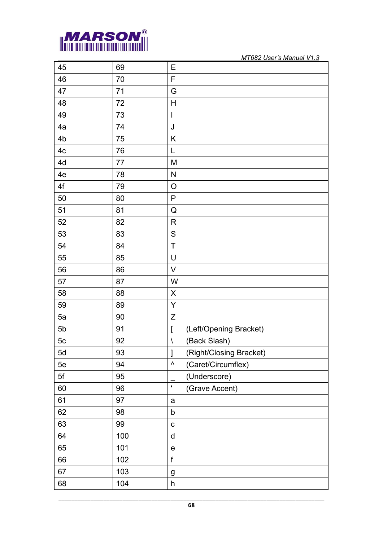

| 45             | 69   | Ε                                            |
|----------------|------|----------------------------------------------|
| 46             | 70   | F                                            |
| 47             | 71   | G                                            |
| 48             | 72   | Н                                            |
| 49             | 73   | $\mathsf I$                                  |
| 4a             | 74   | J                                            |
| 4b             | 75   | Κ                                            |
| 4 <sub>c</sub> | 76   | L                                            |
| 4d             | $77$ | M                                            |
| 4e             | 78   | N                                            |
| 4f             | 79   | $\bigcirc$                                   |
| 50             | 80   | P                                            |
| 51             | 81   | Q                                            |
| 52             | 82   | R                                            |
| 53             | 83   | ${\mathsf S}$                                |
| 54             | 84   | T                                            |
| 55             | 85   | U                                            |
| 56             | 86   | V                                            |
| 57             | 87   | W                                            |
| 58             | 88   | X                                            |
| 59             | 89   | Y                                            |
| 5a             | 90   | Z                                            |
| 5 <sub>b</sub> | 91   | (Left/Opening Bracket)<br>ſ                  |
| 5c             | 92   | (Back Slash)<br>$\backslash$                 |
| 5d             | 93   | $\mathbf{L}$<br>(Right/Closing Bracket)<br>l |
| 5e             | 94   | $\pmb{\wedge}$<br>(Caret/Circumflex)         |
| 5f             | 95   | (Underscore)                                 |
| 60             | 96   | $\mathbf{r}$<br>(Grave Accent)               |
| 61             | 97   | a                                            |
| 62             | 98   | b                                            |
| 63             | 99   | C                                            |
| 64             | 100  | ${\sf d}$                                    |
| 65             | 101  | $\mathsf e$                                  |
| 66             | 102  | $\mathsf f$                                  |
| 67             | 103  | g                                            |
| 68             | 104  | h                                            |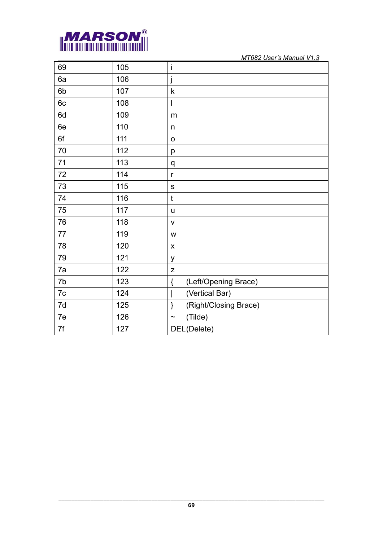

7e 126 ~ (Tilde) 7f | 127 | DEL(Delete)

|    |     |               | MT682 User's Manual V1.3 |
|----|-----|---------------|--------------------------|
| 69 | 105 | İ             |                          |
| 6a | 106 |               |                          |
| 6b | 107 | $\mathsf k$   |                          |
| 6c | 108 |               |                          |
| 6d | 109 | m             |                          |
| 6e | 110 | n             |                          |
| 6f | 111 | O             |                          |
| 70 | 112 | p             |                          |
| 71 | 113 | q             |                          |
| 72 | 114 | r             |                          |
| 73 | 115 | ${\mathbb S}$ |                          |
| 74 | 116 | t             |                          |
| 75 | 117 | U             |                          |
| 76 | 118 | v             |                          |
| 77 | 119 | W             |                          |
| 78 | 120 | X             |                          |
| 79 | 121 | У             |                          |
| 7a | 122 | z             |                          |
| 7b | 123 | {             | (Left/Opening Brace)     |
| 7c | 124 |               | (Vertical Bar)           |
| 7d | 125 | }             | (Right/Closing Brace)    |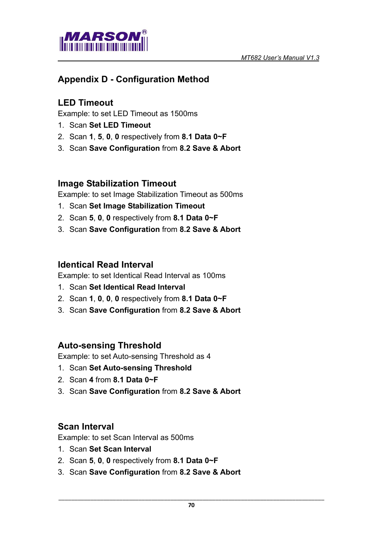

## **Appendix D - Configuration Method**

### **LED Timeout**

Example: to set LED Timeout as 1500ms

- 1. Scan **Set LED Timeout**
- 2. Scan **1**, **5**, **0**, **0** respectively from **8.1 Data 0~F**
- 3. Scan **Save Configuration** from **8.2 Save & Abort**

#### **Image Stabilization Timeout**

Example: to set Image Stabilization Timeout as 500ms

- 1. Scan **Set Image Stabilization Timeout**
- 2. Scan **5**, **0**, **0** respectively from **8.1 Data 0~F**
- 3. Scan **Save Configuration** from **8.2 Save & Abort**

#### **Identical Read Interval**

Example: to set Identical Read Interval as 100ms

- 1. Scan **Set Identical Read Interval**
- 2. Scan **1**, **0**, **0**, **0** respectively from **8.1 Data 0~F**
- 3. Scan **Save Configuration** from **8.2 Save & Abort**

### **Auto-sensing Threshold**

Example: to set Auto-sensing Threshold as 4

- 1. Scan **Set Auto-sensing Threshold**
- 2. Scan **4** from **8.1 Data 0~F**
- 3. Scan **Save Configuration** from **8.2 Save & Abort**

### **Scan Interval**

Example: to set Scan Interval as 500ms

- 1. Scan **Set Scan Interval**
- 2. Scan **5**, **0**, **0** respectively from **8.1 Data 0~F**
- 3. Scan **Save Configuration** from **8.2 Save & Abort**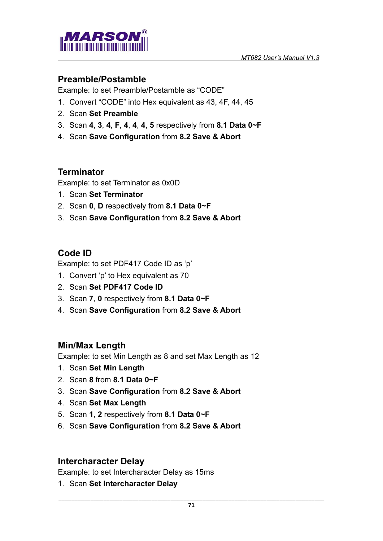

#### **Preamble/Postamble**

Example: to set Preamble/Postamble as "CODE"

- 1. Convert "CODE" into Hex equivalent as 43, 4F, 44, 45
- 2. Scan **Set Preamble**
- 3. Scan **4**, **3**, **4**, **F**, **4**, **4**, **4**, **5** respectively from **8.1 Data 0~F**
- 4. Scan **Save Configuration** from **8.2 Save & Abort**

#### **Terminator**

Example: to set Terminator as 0x0D

- 1. Scan **Set Terminator**
- 2. Scan **0**, **D** respectively from **8.1 Data 0~F**
- 3. Scan **Save Configuration** from **8.2 Save & Abort**

#### **Code ID**

Example: to set PDF417 Code ID as 'p'

- 1. Convert 'p' to Hex equivalent as 70
- 2. Scan **Set PDF417 Code ID**
- 3. Scan **7**, **0** respectively from **8.1 Data 0~F**
- 4. Scan **Save Configuration** from **8.2 Save & Abort**

#### **Min/Max Length**

Example: to set Min Length as 8 and set Max Length as 12

- 1. Scan **Set Min Length**
- 2. Scan **8** from **8.1 Data 0~F**
- 3. Scan **Save Configuration** from **8.2 Save & Abort**
- 4. Scan **Set Max Length**
- 5. Scan **1**, **2** respectively from **8.1 Data 0~F**
- 6. Scan **Save Configuration** from **8.2 Save & Abort**

#### **Intercharacter Delay**

Example: to set Intercharacter Delay as 15ms

1. Scan **Set Intercharacter Delay**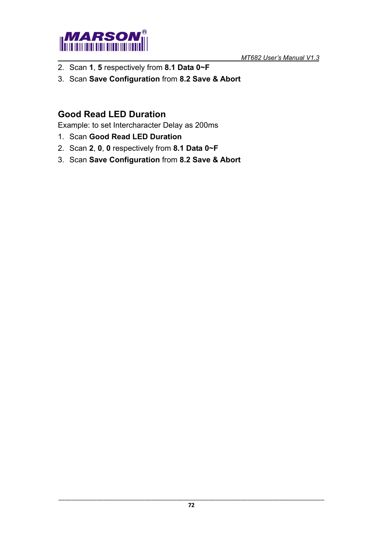

- 2. Scan **1**, **5** respectively from **8.1 Data 0~F**
- 3. Scan **Save Configuration** from **8.2 Save & Abort**

#### **Good Read LED Duration**

Example: to set Intercharacter Delay as 200ms

- 1. Scan **Good Read LED Duration**
- 2. Scan **2**, **0**, **0** respectively from **8.1 Data 0~F**
- 3. Scan **Save Configuration** from **8.2 Save & Abort**